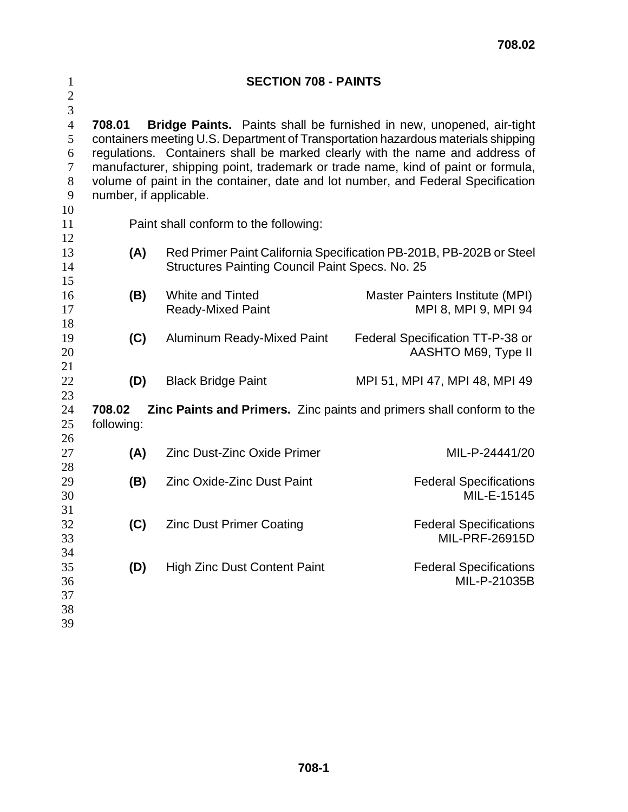| $\mathbf{1}$<br>$\overline{c}$<br>$\overline{3}$                 | <b>SECTION 708 - PAINTS</b>                                                                                                                                                                                                                                                                                                                                                                                                                           |                                                                                                                        |                                                                              |  |  |
|------------------------------------------------------------------|-------------------------------------------------------------------------------------------------------------------------------------------------------------------------------------------------------------------------------------------------------------------------------------------------------------------------------------------------------------------------------------------------------------------------------------------------------|------------------------------------------------------------------------------------------------------------------------|------------------------------------------------------------------------------|--|--|
| $\overline{4}$<br>5<br>6<br>$\boldsymbol{7}$<br>$8\,$<br>9<br>10 | Bridge Paints. Paints shall be furnished in new, unopened, air-tight<br>708.01<br>containers meeting U.S. Department of Transportation hazardous materials shipping<br>regulations. Containers shall be marked clearly with the name and address of<br>manufacturer, shipping point, trademark or trade name, kind of paint or formula,<br>volume of paint in the container, date and lot number, and Federal Specification<br>number, if applicable. |                                                                                                                        |                                                                              |  |  |
| 11<br>12                                                         | Paint shall conform to the following:                                                                                                                                                                                                                                                                                                                                                                                                                 |                                                                                                                        |                                                                              |  |  |
| 13<br>14<br>15                                                   | (A)                                                                                                                                                                                                                                                                                                                                                                                                                                                   | Red Primer Paint California Specification PB-201B, PB-202B or Steel<br>Structures Painting Council Paint Specs. No. 25 |                                                                              |  |  |
| 16<br>17                                                         | (B)                                                                                                                                                                                                                                                                                                                                                                                                                                                   | <b>White and Tinted</b><br><b>Ready-Mixed Paint</b>                                                                    | Master Painters Institute (MPI)<br>MPI 8, MPI 9, MPI 94                      |  |  |
| 18<br>19<br>20                                                   | (C)                                                                                                                                                                                                                                                                                                                                                                                                                                                   | <b>Aluminum Ready-Mixed Paint</b>                                                                                      | Federal Specification TT-P-38 or<br>AASHTO M69, Type II                      |  |  |
| 21<br>22<br>23                                                   | (D)                                                                                                                                                                                                                                                                                                                                                                                                                                                   | <b>Black Bridge Paint</b>                                                                                              | MPI 51, MPI 47, MPI 48, MPI 49                                               |  |  |
| 24<br>$25\,$<br>26                                               | 708.02<br>following:                                                                                                                                                                                                                                                                                                                                                                                                                                  |                                                                                                                        | <b>Zinc Paints and Primers.</b> Zinc paints and primers shall conform to the |  |  |
| 27<br>28                                                         | (A)                                                                                                                                                                                                                                                                                                                                                                                                                                                   | <b>Zinc Dust-Zinc Oxide Primer</b>                                                                                     | MIL-P-24441/20                                                               |  |  |
| 29<br>30<br>31                                                   | (B)                                                                                                                                                                                                                                                                                                                                                                                                                                                   | <b>Zinc Oxide-Zinc Dust Paint</b>                                                                                      | <b>Federal Specifications</b><br>MIL-E-15145                                 |  |  |
| 32<br>33                                                         | (C)                                                                                                                                                                                                                                                                                                                                                                                                                                                   | <b>Zinc Dust Primer Coating</b>                                                                                        | <b>Federal Specifications</b><br><b>MIL-PRF-26915D</b>                       |  |  |
| 34<br>35<br>36<br>37<br>38<br>39                                 | (D)                                                                                                                                                                                                                                                                                                                                                                                                                                                   | <b>High Zinc Dust Content Paint</b>                                                                                    | <b>Federal Specifications</b><br>MIL-P-21035B                                |  |  |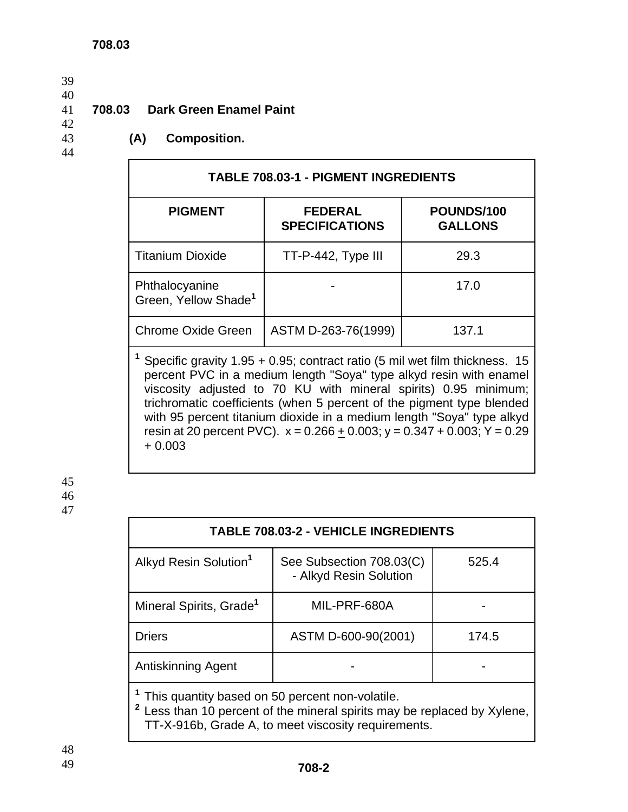#### 40

# 42

# 41 **708.03 Dark Green Enamel Paint**

44

#### 43 **(A) Composition.**

| <b>TABLE 708.03-1 - PIGMENT INGREDIENTS</b>        |                                         |                              |  |  |  |
|----------------------------------------------------|-----------------------------------------|------------------------------|--|--|--|
| <b>PIGMENT</b>                                     | <b>FEDERAL</b><br><b>SPECIFICATIONS</b> | POUNDS/100<br><b>GALLONS</b> |  |  |  |
| <b>Titanium Dioxide</b>                            | TT-P-442, Type III                      | 29.3                         |  |  |  |
| Phthalocyanine<br>Green, Yellow Shade <sup>1</sup> |                                         | 17.0                         |  |  |  |
| <b>Chrome Oxide Green</b>                          | ASTM D-263-76(1999)                     | 137.1                        |  |  |  |

**1** Specific gravity 1.95 + 0.95; contract ratio (5 mil wet film thickness. 15 percent PVC in a medium length "Soya" type alkyd resin with enamel viscosity adjusted to 70 KU with mineral spirits) 0.95 minimum; trichromatic coefficients (when 5 percent of the pigment type blended with 95 percent titanium dioxide in a medium length "Soya" type alkyd resin at 20 percent PVC).  $x = 0.266 + 0.003$ ;  $y = 0.347 + 0.003$ ;  $Y = 0.29$ + 0.003

45 46 47

| <b>TABLE 708.03-2 - VEHICLE INGREDIENTS</b>    |                                                    |       |  |  |
|------------------------------------------------|----------------------------------------------------|-------|--|--|
| Alkyd Resin Solution <sup>1</sup>              | See Subsection 708.03(C)<br>- Alkyd Resin Solution | 525.4 |  |  |
| Mineral Spirits, Grade <sup>1</sup>            | MIL-PRF-680A                                       |       |  |  |
| <b>Driers</b>                                  | ASTM D-600-90(2001)                                | 174.5 |  |  |
| Antiskinning Agent                             |                                                    |       |  |  |
| This quantity based on 50 persont pon-volatile |                                                    |       |  |  |

**<sup>1</sup>** This quantity based on 50 percent non-volatile.

**2** Less than 10 percent of the mineral spirits may be replaced by Xylene, TT-X-916b, Grade A, to meet viscosity requirements.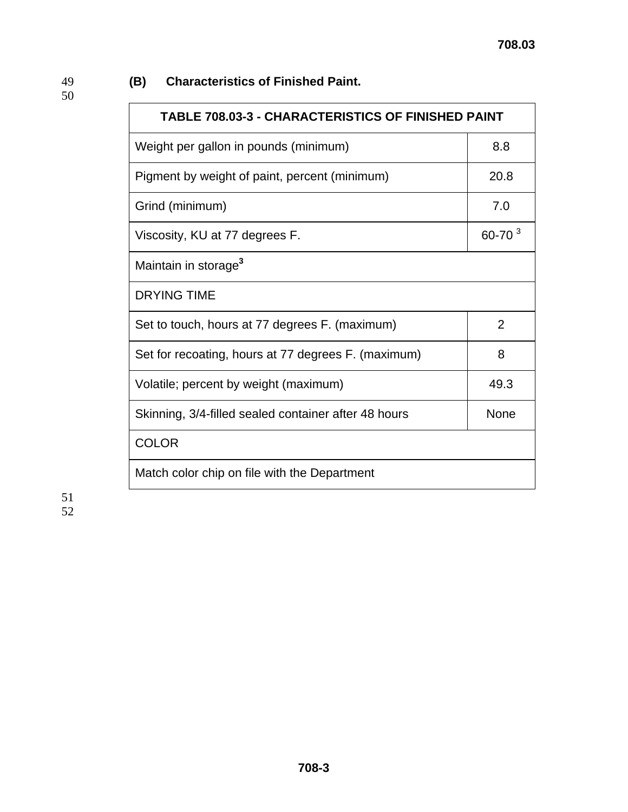## 49 **(B) Characteristics of Finished Paint.**

50

| <b>TABLE 708.03-3 - CHARACTERISTICS OF FINISHED PAINT</b> |                |  |
|-----------------------------------------------------------|----------------|--|
| Weight per gallon in pounds (minimum)                     | 8.8            |  |
| Pigment by weight of paint, percent (minimum)             | 20.8           |  |
| Grind (minimum)                                           | 7.0            |  |
| Viscosity, KU at 77 degrees F.                            | $60 - 70^{3}$  |  |
| Maintain in storage <sup>3</sup>                          |                |  |
| <b>DRYING TIME</b>                                        |                |  |
| Set to touch, hours at 77 degrees F. (maximum)            | $\overline{2}$ |  |
| Set for recoating, hours at 77 degrees F. (maximum)       | 8              |  |
| Volatile; percent by weight (maximum)                     | 49.3           |  |
| Skinning, 3/4-filled sealed container after 48 hours      | <b>None</b>    |  |
| <b>COLOR</b>                                              |                |  |
| Match color chip on file with the Department              |                |  |

51 52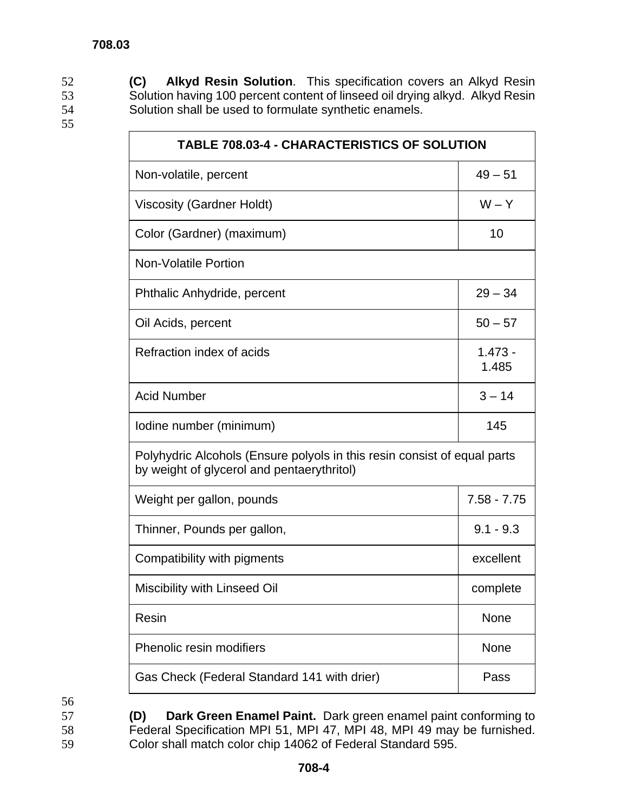52 **(C) Alkyd Resin Solution**. This specification covers an Alkyd Resin 53 Solution having 100 percent content of linseed oil drying alkyd. Alkyd Resin 54 Solution shall be used to formulate synthetic enamels.

| <b>TABLE 708.03-4 - CHARACTERISTICS OF SOLUTION</b>                                                                    |                    |  |
|------------------------------------------------------------------------------------------------------------------------|--------------------|--|
| Non-volatile, percent                                                                                                  | $49 - 51$          |  |
| <b>Viscosity (Gardner Holdt)</b>                                                                                       | $W - Y$            |  |
| Color (Gardner) (maximum)                                                                                              | 10                 |  |
| <b>Non-Volatile Portion</b>                                                                                            |                    |  |
| Phthalic Anhydride, percent                                                                                            | $29 - 34$          |  |
| Oil Acids, percent                                                                                                     | $50 - 57$          |  |
| Refraction index of acids                                                                                              | $1.473 -$<br>1.485 |  |
| <b>Acid Number</b>                                                                                                     | $3 - 14$           |  |
| Iodine number (minimum)                                                                                                | 145                |  |
| Polyhydric Alcohols (Ensure polyols in this resin consist of equal parts<br>by weight of glycerol and pentaerythritol) |                    |  |
| Weight per gallon, pounds                                                                                              | $7.58 - 7.75$      |  |
| Thinner, Pounds per gallon,                                                                                            | $9.1 - 9.3$        |  |
| Compatibility with pigments                                                                                            | excellent          |  |
| Miscibility with Linseed Oil                                                                                           | complete           |  |
| Resin                                                                                                                  | None               |  |
| Phenolic resin modifiers                                                                                               | None               |  |
| Gas Check (Federal Standard 141 with drier)                                                                            | Pass               |  |

56

57 **(D) Dark Green Enamel Paint.** Dark green enamel paint conforming to 58 Federal Specification MPI 51, MPI 47, MPI 48, MPI 49 may be furnished. 59 Color shall match color chip 14062 of Federal Standard 595.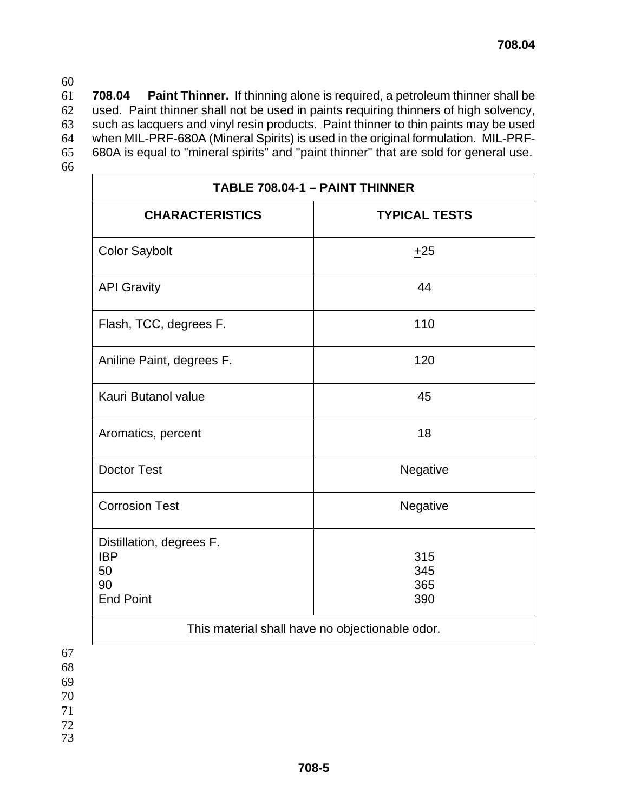**708.04 Paint Thinner.** If thinning alone is required, a petroleum thinner shall be used. Paint thinner shall not be used in paints requiring thinners of high solvency, such as lacquers and vinyl resin products. Paint thinner to thin paints may be used when MIL-PRF-680A (Mineral Spirits) is used in the original formulation. MIL-PRF-680A is equal to "mineral spirits" and "paint thinner" that are sold for general use.

66

| TABLE 708.04-1 - PAINT THINNER                                         |                          |  |  |
|------------------------------------------------------------------------|--------------------------|--|--|
| <b>CHARACTERISTICS</b>                                                 | <b>TYPICAL TESTS</b>     |  |  |
| <b>Color Saybolt</b>                                                   | ±25                      |  |  |
| <b>API Gravity</b>                                                     | 44                       |  |  |
| Flash, TCC, degrees F.                                                 | 110                      |  |  |
| Aniline Paint, degrees F.                                              | 120                      |  |  |
| Kauri Butanol value                                                    | 45                       |  |  |
| Aromatics, percent                                                     | 18                       |  |  |
| <b>Doctor Test</b>                                                     | Negative                 |  |  |
| <b>Corrosion Test</b>                                                  | Negative                 |  |  |
| Distillation, degrees F.<br><b>IBP</b><br>50<br>90<br><b>End Point</b> | 315<br>345<br>365<br>390 |  |  |
| This material shall have no objectionable odor.                        |                          |  |  |

67 68

- 69
- 70
- 71
- 72
- 73